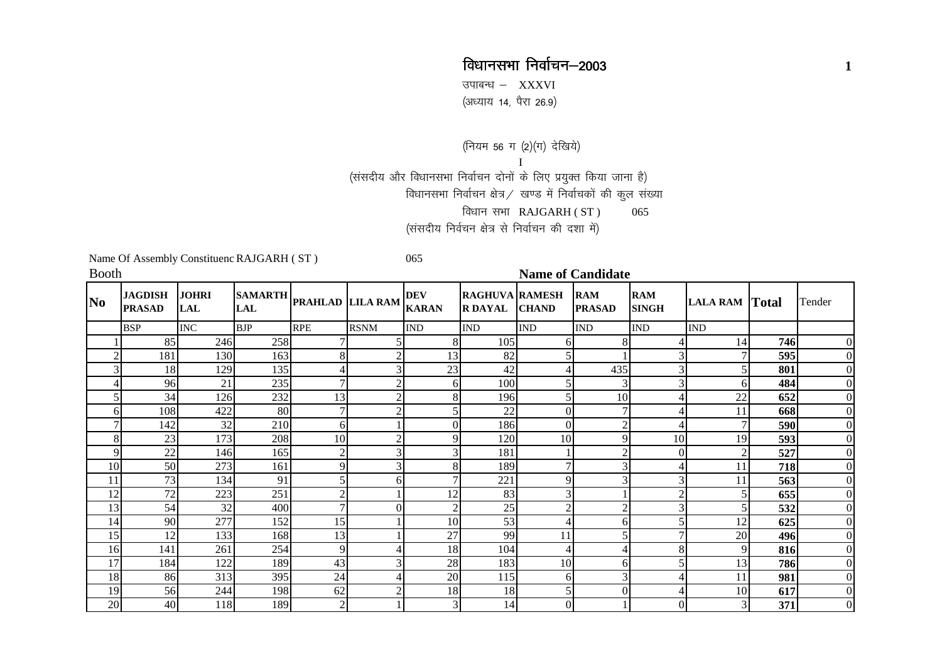## विधानसभा निर्वाचन-2003 **<sup>1</sup>**

उपाबन्ध  $-$  XXXVI (अध्याय 14, पैरा 26.9)

(नियम 56 ग (2)(ग) देखिये)<br>I<br>(संसदीय और विधानसभा निर्वाचन दोनों के लिए प्रयुक्त किया जाना है)

विधानसभा निर्वाचन क्षेत्र / खण्ड में निर्वाचकों की कुल संख्या

विधान सभा  $RAJGARH (ST)$  065

(संसदीय निर्वचन क्षेत्र से निर्वाचन की दशा में)

Name Of Assembly Constituenc RAJGARH ( ST ) 065

**Booth Name of Candidate** 

| N <sub>0</sub> | <b>JAGDISH</b><br><b>PRASAD</b> | <b>JOHRI</b><br><b>LAL</b> |            | SAMARTH PRAHLAD LILA RAM |                | <b>DEV</b><br><b>KARAN</b> | <b>RAGHUVA RAMESH</b><br><b>R DAYAL</b> | <b>CHAND</b>             | <b>RAM</b><br><b>PRASAD</b> | <b>RAM</b><br><b>SINGH</b> | <b>LALA RAM Total</b> |     | Tender         |
|----------------|---------------------------------|----------------------------|------------|--------------------------|----------------|----------------------------|-----------------------------------------|--------------------------|-----------------------------|----------------------------|-----------------------|-----|----------------|
|                | <b>BSP</b>                      | <b>INC</b>                 | <b>BJP</b> | <b>RPE</b>               | <b>RSNM</b>    | <b>IND</b>                 | <b>IND</b>                              | <b>IND</b>               | <b>IND</b>                  | <b>IND</b>                 | <b>IND</b>            |     |                |
|                | 85                              | 246                        | 258        |                          |                | 8                          | 105                                     | 61                       | 8                           |                            | 14                    | 746 | $\Omega$       |
| $\overline{2}$ | 181                             | 130                        | 163        | 8                        | $\mathfrak{2}$ | 13                         | 82                                      | 5                        |                             | 3                          |                       | 595 | $\overline{0}$ |
| 3              | 18                              | 129                        | 135        | 4                        | 3              | 23                         | 42                                      |                          | 435                         | 3                          | 5                     | 801 | $\overline{0}$ |
| 4              | 96                              | 21                         | 235        | 7                        | $\sqrt{2}$     | 6                          | 100                                     |                          | 3                           | 3                          | 6                     | 484 | $\overline{0}$ |
| 5              | 34                              | 126                        | 232        | 13                       | $\overline{2}$ | 8                          | 196                                     | 5                        | 10                          |                            | 22                    | 652 | $\overline{0}$ |
| 6              | 108                             | 422                        | 80         | 7                        | $\overline{2}$ |                            | 22                                      | 0                        |                             |                            | 11                    | 668 | $\overline{0}$ |
| 7              | 142                             | 32                         | 210        | 6                        |                | 0                          | 186                                     | $\theta$                 | $\overline{2}$              |                            | 7                     | 590 | $\overline{0}$ |
| 8              | 23                              | 173                        | 208        | 10                       | $\overline{2}$ | Q                          | 120                                     | 10                       | 9                           | 10                         | 19                    | 593 | $\overline{0}$ |
| 9              | 22                              | 146                        | 165        | $\overline{2}$           | 3 <sub>l</sub> | 3                          | 181                                     |                          |                             |                            | $\overline{2}$        | 527 | $\overline{0}$ |
| 10             | 50                              | 273                        | 161        | 9                        | 3              | 8                          | 189                                     | 7                        |                             |                            | 11                    | 718 | $\overline{0}$ |
| 11             | 73                              | 134                        | 91         | 5                        | 6              |                            | 221                                     | 9                        |                             |                            | 11                    | 563 | $\overline{0}$ |
| 12             | 72                              | 223                        | 251        | 2                        |                | 12                         | 83                                      | 3                        |                             | ◠                          | 5                     | 655 | $\Omega$       |
| 13             | 54                              | 32                         | 400        | $\mathcal{I}$            | $\Omega$       | $\overline{c}$             | 25                                      | $\overline{2}$           | 2                           | 3                          | 5                     | 532 | $\overline{0}$ |
| 14             | 90                              | 277                        | 152        | 15                       |                | 10                         | 53                                      |                          | 6                           |                            | 12                    | 625 | $\overline{0}$ |
| 15             | 12                              | 133                        | 168        | 13                       |                | 27                         | 99                                      | 11                       | 5                           |                            | 20                    | 496 | $\overline{0}$ |
| 16             | 141                             | 261                        | 254        | $\mathbf{Q}$             | 4              | 18                         | 104                                     | $\overline{\mathcal{A}}$ | 4                           | 8                          | 9                     | 816 | $\overline{0}$ |
| 17             | 184                             | 122                        | 189        | 43                       | 3              | 28                         | 183                                     | 10                       | 6                           |                            | 13                    | 786 | $\overline{0}$ |
| 18             | 86                              | 313                        | 395        | 24                       | 4              | 20                         | 115                                     | 6                        | 3                           |                            | 11                    | 981 | $\overline{0}$ |
| 19             | 56                              | 244                        | 198        | 62                       | $\overline{2}$ | 18                         | 18                                      | 5                        | 0                           |                            | 10                    | 617 | $\overline{0}$ |
| 20             | 40                              | 118                        | 189        | $\mathbf{2}$             |                | 3                          | 14                                      | $\overline{0}$           |                             | 0                          | 3                     | 371 | $\overline{0}$ |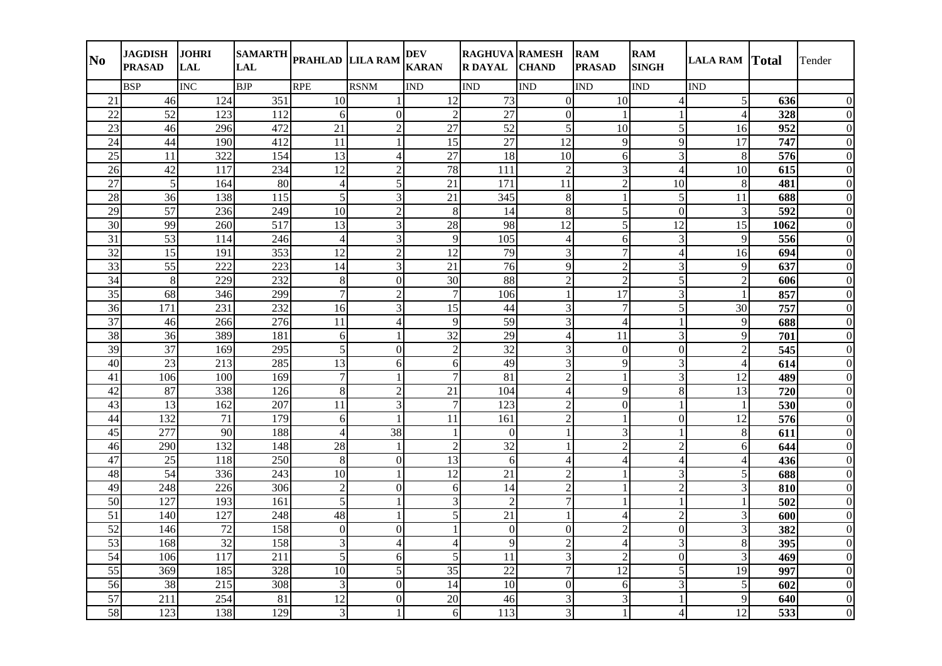| N <sub>0</sub>  | <b>JAGDISH</b><br><b>PRASAD</b> | <b>JOHRI</b><br><b>LAL</b> | <b>SAMARTH</b><br><b>LAL</b> | PRAHLAD LILA RAM |                 | <b>DEV</b><br><b>KARAN</b> | <b>RAGHUVA RAMESH</b><br><b>R DAYAL</b> | <b>CHAND</b>   | <b>RAM</b><br><b>PRASAD</b> | <b>RAM</b><br><b>SINGH</b> | <b>LALA RAM Total</b> |      | Tender       |
|-----------------|---------------------------------|----------------------------|------------------------------|------------------|-----------------|----------------------------|-----------------------------------------|----------------|-----------------------------|----------------------------|-----------------------|------|--------------|
|                 | <b>BSP</b>                      | <b>INC</b>                 | <b>BJP</b>                   | <b>RPE</b>       | <b>RSNM</b>     | <b>IND</b>                 | <b>IND</b>                              | <b>IND</b>     | <b>IND</b>                  | <b>IND</b>                 | <b>IND</b>            |      |              |
| 21              | 46                              | 124                        | 351                          | 10               | $\mathbf{1}$    | 12                         | 73                                      | $\Omega$       | 10                          | 4                          | 5                     | 636  | ∩            |
| $\overline{22}$ | $\overline{52}$                 | 123                        | 112                          | 6                | $\overline{0}$  | $\overline{2}$             | $\overline{27}$                         | $\overline{0}$ | $\mathbf{1}$                |                            | $\overline{4}$        | 328  | 0            |
| 23              | 46                              | 296                        | 472                          | 21               | $\overline{c}$  | 27                         | 52                                      | 5              | 10                          | 5                          | 16                    | 952  |              |
| 24              | 44                              | 190                        | 412                          | 11               | $\mathbf{1}$    | $\overline{15}$            | $\overline{27}$                         | 12             | 9                           | 9                          | 17                    | 747  |              |
| 25              | 11                              | 322                        | 154                          | 13               | $\overline{4}$  | 27                         | 18                                      | 10             | $6 \overline{6}$            | $\overline{3}$             | $\,8\,$               | 576  | $\Omega$     |
| 26              | 42                              | 117                        | 234                          | 12               | $\overline{c}$  | 78                         | 111                                     | $\overline{2}$ | 3                           | $\boldsymbol{\Lambda}$     | 10                    | 615  | 0            |
| 27              | 5 <sup>1</sup>                  | 164                        | 80                           | $\overline{4}$   | $\overline{5}$  | 21                         | 171                                     | 11             | $\overline{c}$              | 10                         | 8                     | 481  | 0            |
| 28              | 36                              | 138                        | 115                          | 5                | $\overline{3}$  | 21                         | 345                                     | $8\,$          | 1                           | 5                          | 11                    | 688  | $\Omega$     |
| 29              | 57                              | 236                        | 249                          | 10               | $\overline{2}$  | 8                          | 14                                      | 8              | 5                           | $\Omega$                   | 3                     | 592  | $\Omega$     |
| 30              | 99                              | 260                        | 517                          | 13               | $\overline{3}$  | 28                         | 98                                      | 12             | 5                           | 12                         | 15                    | 1062 |              |
| 31              | 53                              | 114                        | 246                          | $\overline{4}$   | $\overline{3}$  | 9                          | 105                                     | $\overline{4}$ | 6                           | 3                          | 9                     | 556  |              |
| 32              | 15                              | 191                        | 353                          | 12               | $\overline{2}$  | 12                         | 79                                      | 3              | $\overline{7}$              | $\overline{4}$             | 16                    | 694  |              |
| $\overline{33}$ | 55                              | 222                        | 223                          | 14               | $\overline{3}$  | $\overline{21}$            | 76                                      | 9              | $\overline{c}$              | 3                          | 9                     | 637  |              |
| 34              | 8                               | 229                        | 232                          | 8                | $\overline{0}$  | 30                         | 88                                      | $\overline{2}$ | $\overline{2}$              | 5                          | $\overline{2}$        | 606  |              |
| 35              | 68                              | 346                        | 299                          | $\overline{7}$   | $\overline{c}$  | $\overline{7}$             | 106                                     |                | $\overline{17}$             | 3                          |                       | 857  | 0            |
| 36              | 171                             | 231                        | 232                          | 16               | $\overline{3}$  | 15                         | 44                                      | 3              | $\tau$                      | 5                          | 30                    | 757  | $\theta$     |
| $\overline{37}$ | 46                              | 266                        | 276                          | 11               | $\vert 4 \vert$ | 9                          | $\overline{59}$                         | 3              | $\overline{4}$              |                            | 9                     | 688  | $\theta$     |
| 38              | 36                              | 389                        | 181                          | 6                | $\mathbf{1}$    | 32                         | 29                                      | $\overline{4}$ | 11                          | 3                          | 9                     | 701  | $\Omega$     |
| 39              | $\overline{37}$                 | 169                        | 295                          | 5                | $\overline{0}$  | $\overline{2}$             | $\overline{32}$                         | 3              | $\mathbf{0}$                | $\mathbf{0}$               | $\overline{2}$        | 545  |              |
| 40              | $\overline{23}$                 | 213                        | 285                          | 13               | 6               | 6                          | 49                                      | 3              | 9                           | 3                          | $\overline{4}$        | 614  |              |
| 41              | 106                             | 100                        | 169                          | 7                | 1               | 7                          | 81                                      | $\overline{c}$ | 1                           | 3                          | 12                    | 489  |              |
| 42              | 87                              | 338                        | 126                          | 8                | $\overline{2}$  | $\overline{21}$            | 104                                     | Δ              | 9                           | 8                          | $\overline{13}$       | 720  |              |
| 43              | 13                              | 162                        | 207                          | 11               | $\overline{3}$  | $\overline{7}$             | 123                                     | $\mathfrak{D}$ | $\overline{0}$              |                            |                       | 530  |              |
| 44              | 132                             | $\overline{71}$            | 179                          | 6                | $\mathbf{1}$    | 11                         | 161                                     | $\overline{2}$ | $\mathbf{1}$                | $\overline{0}$             | 12                    | 576  | $\Omega$     |
| 45              | $\overline{277}$                | $\overline{90}$            | 188                          | $\overline{4}$   | 38              |                            | $\Omega$                                |                | 3                           |                            | $8\,$                 | 611  |              |
| 46              | 290                             | 132                        | 148                          | 28               | $\mathbf{1}$    | $\overline{2}$             | $\overline{32}$                         |                | $\overline{c}$              | $\overline{2}$             | 6                     | 644  | $\theta$     |
| 47              | $\overline{25}$                 | 118                        | 250                          | 8                | $\overline{0}$  | $\overline{13}$            | 6                                       | 4              | $\overline{4}$              | $\overline{4}$             | $\overline{4}$        | 436  | 0            |
| 48              | 54                              | 336                        | 243                          | 10               | $\mathbf{1}$    | 12                         | $\overline{21}$                         | $\overline{2}$ |                             | 3                          | 5                     | 688  |              |
| 49              | 248                             | 226                        | 306                          | $\overline{2}$   | $\overline{0}$  | 6                          | 14                                      | $\mathcal{P}$  |                             | $\overline{2}$             | 3                     | 810  |              |
| $\overline{50}$ | $\overline{127}$                | 193                        | 161                          | 5                | $\mathbf{1}$    | 3                          | $\sqrt{2}$                              |                |                             |                            |                       | 502  |              |
| $\overline{51}$ | 140                             | 127                        | 248                          | 48               | $\mathbf{1}$    | 5                          | $\overline{21}$                         |                | $\overline{4}$              | $\overline{2}$             | 3                     | 600  |              |
| $\overline{52}$ | 146                             | $\overline{72}$            | 158                          | $\Omega$         | $\overline{0}$  |                            | $\overline{0}$                          | $\Omega$       | $\overline{2}$              | $\Omega$                   | 3                     | 382  |              |
| $\overline{53}$ | 168                             | $\overline{32}$            | 158                          | 3                | $\overline{4}$  | $\overline{4}$             | $\overline{9}$                          | $\mathfrak{D}$ | $\overline{4}$              | 3                          | $\,8\,$               | 395  | $\Omega$     |
| 54              | 106                             | 117                        | 211                          | 5                | 6               | 5                          | 11                                      | 3              | $\overline{2}$              | $\overline{0}$             | 3                     | 469  | $\theta$     |
| $\overline{55}$ | 369                             | 185                        | 328                          | 10               | $\vert$         | 35                         | 22                                      | 7              | 12                          | 5                          | 19                    | 997  | $\theta$     |
| 56              | 38                              | 215                        | 308                          | 3                | $\overline{0}$  | 14                         | 10                                      | $\overline{0}$ | 6                           | 3                          | 5                     | 602  | $\Omega$     |
| 57              | 211                             | 254                        | 81                           | 12               | $\Omega$        | 20                         | 46                                      | 3              | 3                           |                            | 9                     | 640  | $\Omega$     |
| 58              | 123                             | 138                        | 129                          | 3                | $\mathbf{1}$    | $6\overline{)}$            | 113                                     | 3              |                             | $\overline{4}$             | 12                    | 533  | $\mathbf{0}$ |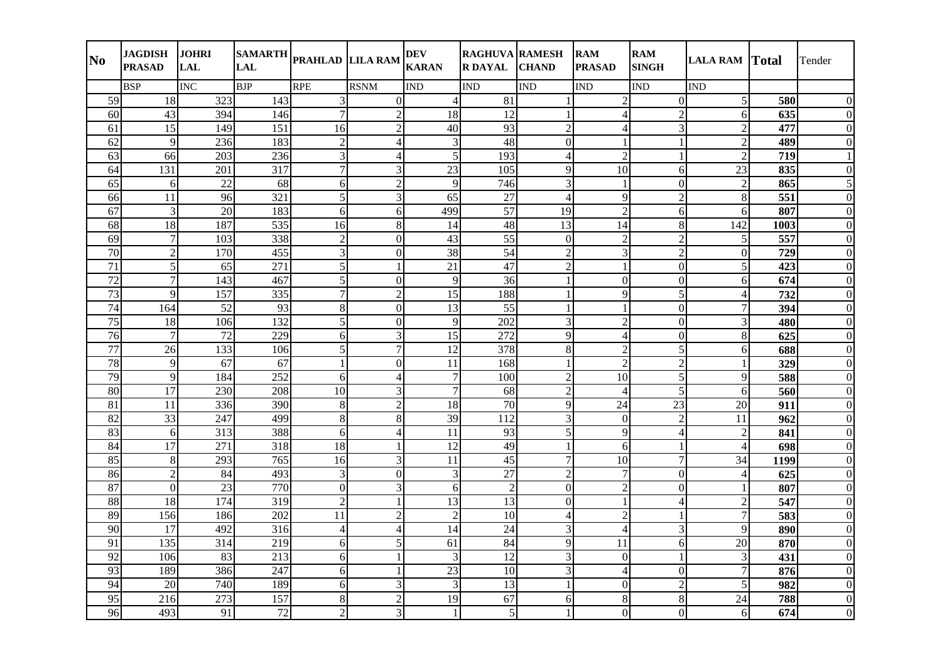| N <sub>0</sub>  | <b>JAGDISH</b><br><b>PRASAD</b> | <b>JOHRI</b><br><b>LAL</b> | <b>SAMARTH</b><br><b>LAL</b> | PRAHLAD LILA RAM         |                | <b>DEV</b><br><b>KARAN</b> | <b>RAGHUVA RAMESH</b><br><b>R DAYAL</b> | <b>CHAND</b>             | <b>RAM</b><br><b>PRASAD</b> | <b>RAM</b><br><b>SINGH</b> | <b>LALA RAM Total</b>    |      | Tender       |
|-----------------|---------------------------------|----------------------------|------------------------------|--------------------------|----------------|----------------------------|-----------------------------------------|--------------------------|-----------------------------|----------------------------|--------------------------|------|--------------|
|                 | <b>BSP</b>                      | <b>INC</b>                 | <b>BJP</b>                   | <b>RPE</b>               | <b>RSNM</b>    | <b>IND</b>                 | <b>IND</b>                              | <b>IND</b>               | <b>IND</b>                  | <b>IND</b>                 | <b>IND</b>               |      |              |
| 59              | 18                              | 323                        | 143                          | 3                        | $\overline{0}$ | 4                          | 81                                      |                          | $\overline{2}$              | $\Omega$                   | 5                        | 580  | ∩            |
| 60              | 43                              | 394                        | 146                          | 7                        | $\overline{c}$ | 18                         | $\overline{12}$                         |                          | 4                           | $\overline{2}$             | 6                        | 635  |              |
| 61              | 15                              | 149                        | 151                          | 16                       | $\overline{2}$ | 40                         | 93                                      | $\overline{c}$           | $\overline{4}$              | 3                          | $\overline{2}$           | 477  |              |
| 62              | $\overline{9}$                  | 236                        | 183                          | $\overline{2}$           | $\overline{4}$ | 3                          | 48                                      | $\overline{0}$           | $\mathbf{1}$                |                            | $\overline{2}$           | 489  |              |
| 63              | 66                              | 203                        | 236                          | 3                        | $\overline{4}$ | $\vert$                    | 193                                     | $\overline{4}$           | $\overline{2}$              |                            | $\overline{2}$           | 719  |              |
| 64              | 131                             | 201                        | 317                          | 7                        | $\overline{3}$ | 23                         | 105                                     | 9                        | 10                          | 6                          | 23                       | 835  |              |
| 65              | 6                               | 22                         | 68                           | 6                        | $\overline{2}$ | 9                          | 746                                     | 3                        | 1                           | $\Omega$                   | 2                        | 865  |              |
| 66              | 11                              | 96                         | 321                          | 5                        | $\overline{3}$ | 65                         | 27                                      | $\overline{4}$           | 9                           | $\mathfrak{D}$             | 8                        | 551  | $\Omega$     |
| 67              | $\overline{3}$                  | 20                         | 183                          | 6                        | 6              | 499                        | 57                                      | 19                       | $\overline{2}$              | 6                          | 6                        | 807  | $\Omega$     |
| 68              | 18                              | 187                        | 535                          | 16                       | 8              | 14                         | 48                                      | 13                       | 14                          | 8                          | 142                      | 1003 |              |
| 69              | $\boldsymbol{7}$                | 103                        | 338                          | $\overline{2}$           | $\overline{0}$ | 43                         | 55                                      | $\Omega$                 | $\overline{2}$              | $\overline{2}$             | 5                        | 557  |              |
| $\overline{70}$ | $\overline{2}$                  | 170                        | 455                          | 3                        | $\overline{0}$ | 38                         | 54                                      | $\overline{2}$           | 3                           | $\overline{2}$             | $\boldsymbol{0}$         | 729  |              |
| 71              | 5 <sup>1</sup>                  | 65                         | 271                          | 5                        | $\mathbf{1}$   | $\overline{21}$            | $\overline{47}$                         | $\overline{2}$           | $\mathbf{1}$                | $\Omega$                   | 5                        | 423  |              |
| 72              | $\overline{7}$                  | 143                        | 467                          | 5                        | $\overline{0}$ | $\overline{9}$             | 36                                      |                          | $\overline{0}$              | $\Omega$                   | 6                        | 674  |              |
| $\overline{73}$ | 9                               | 157                        | 335                          | $\overline{7}$           | $\overline{2}$ | 15                         | 188                                     |                          | 9                           | 5                          | $\overline{4}$           | 732  |              |
| 74              | 164                             | 52                         | 93                           | 8                        | $\overline{0}$ | 13                         | 55                                      |                          | $\mathbf{1}$                | $\Omega$                   | $\tau$                   | 394  | $\theta$     |
| $\overline{75}$ | 18                              | 106                        | 132                          | 5                        | $\overline{0}$ | $\overline{9}$             | $\overline{202}$                        | 3                        | $\overline{c}$              | $\overline{0}$             | 3                        | 480  | $\Omega$     |
| 76              | $\overline{7}$                  | 72                         | 229                          | 6                        | $\overline{3}$ | $\overline{15}$            | 272                                     | $\mathbf Q$              | $\overline{4}$              | $\mathbf{0}$               | $\,8\,$                  | 625  | $\Omega$     |
| $\overline{77}$ | 26                              | 133                        | 106                          | 5                        | $\overline{7}$ | $\overline{12}$            | 378                                     | 8                        | $\overline{2}$              | 5                          | 6                        | 688  |              |
| 78              | 9                               | 67                         | 67                           |                          | $\overline{0}$ | 11                         | 168                                     |                          | $\overline{c}$              | $\overline{c}$             | $\mathbf{1}$             | 329  |              |
| 79              | $\overline{9}$                  | 184                        | 252                          | 6                        | 4              | 7                          | 100                                     | $\overline{2}$           | 10                          | 5                          | 9                        | 588  |              |
| 80              | 17                              | 230                        | 208                          | 10                       | $\overline{3}$ | $\overline{7}$             | 68                                      | $\overline{\mathcal{L}}$ | 4                           | 5                          | 6                        | 560  |              |
| 81              | 11                              | 336                        | 390                          | 8                        | $\overline{c}$ | 18                         | 70                                      | 9                        | 24                          | 23                         | 20                       | 911  |              |
| $\overline{82}$ | $\overline{33}$                 | 247                        | 499                          | 8                        | 8              | 39                         | 112                                     | 3                        | $\mathbf{0}$                | $\overline{2}$             | $\overline{11}$          | 962  |              |
| 83              | 6                               | 313                        | 388                          | 6                        | $\overline{4}$ | 11                         | 93                                      | 5                        | 9                           | 4                          | $\overline{2}$           | 841  |              |
| 84              | $\overline{17}$                 | 271                        | 318                          | 18                       | $\mathbf{1}$   | 12                         | 49                                      |                          | 6                           | $\mathbf{1}$               | $\overline{4}$           | 698  | $\Omega$     |
| 85              | 8                               | 293                        | 765                          | 16                       | $\overline{3}$ | $\overline{11}$            | $\overline{45}$                         | $\overline{7}$           | 10                          | 7                          | $\overline{34}$          | 1199 |              |
| 86              | $\overline{2}$                  | 84                         | 493                          | 3                        | $\overline{0}$ | 3                          | $\overline{27}$                         | $\overline{2}$           | $\overline{7}$              | $\Omega$                   | $\overline{\mathcal{L}}$ | 625  |              |
| 87              | $\overline{0}$                  | 23                         | 770                          | $\Omega$                 | $\overline{3}$ | 6                          | $\overline{2}$                          | $\Omega$                 | $\overline{c}$              | $\overline{0}$             |                          | 807  |              |
| 88              | 18                              | 174                        | 319                          | $\overline{2}$           | $\mathbf{1}$   | $\overline{13}$            | $\overline{13}$                         | $\Omega$                 | $\mathbf{1}$                | Δ                          | $\mathbf{2}$             | 547  |              |
| 89              | 156                             | 186                        | $\overline{202}$             | 11                       | $\overline{2}$ | $\overline{2}$             | 10                                      | $\overline{4}$           | $\overline{c}$              |                            | $\overline{7}$           | 583  |              |
| 90              | 17                              | 492                        | 316                          | $\overline{\mathcal{A}}$ | $\overline{4}$ | 14                         | $\overline{24}$                         | 3                        | $\overline{4}$              | 3                          | 9                        | 890  |              |
| 91              | 135                             | 314                        | 219                          | 6                        | $\vert$        | 61                         | 84                                      | $\overline{9}$           | 11                          | 6                          | $\overline{20}$          | 870  | $\Omega$     |
| 92              | 106                             | 83                         | 213                          | 6                        | $\mathbf{1}$   | 3                          | 12                                      | 3                        | $\mathbf{0}$                |                            | 3                        | 431  | $\Omega$     |
| 93              | 189                             | 386                        | 247                          | 6                        | $\mathbf{1}$   | 23                         | 10                                      | 3                        | $\overline{4}$              | $\Omega$                   | $\tau$                   | 876  | $\Omega$     |
| 94              | 20                              | 740                        | 189                          | 6                        | $\overline{3}$ | 3                          | 13                                      |                          | $\overline{0}$              | $\overline{2}$             | 5                        | 982  | $\Omega$     |
| 95              | 216                             | 273                        | 157                          | 8                        | $\overline{2}$ | 19                         | 67                                      | 6                        | 8                           | 8                          | 24                       | 788  | $\Omega$     |
| 96              | 493                             | 91                         | $72\,$                       | $\overline{2}$           | $\overline{3}$ | $\mathbf{1}$               | 5 <sup>1</sup>                          |                          | $\overline{0}$              | $\Omega$                   | 6                        | 674  | $\mathbf{0}$ |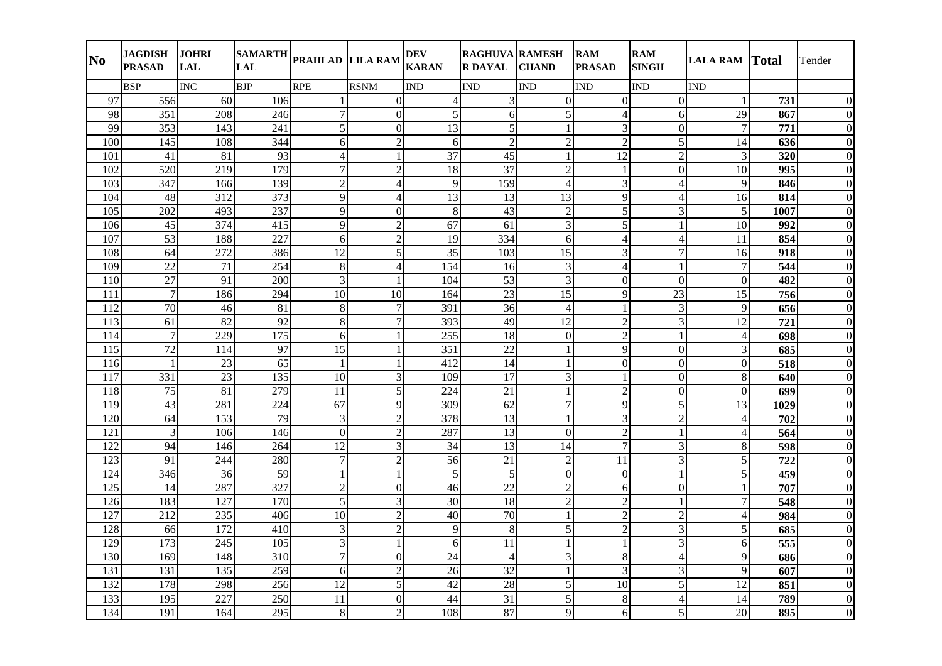| N <sub>0</sub>   | <b>JAGDISH</b><br><b>PRASAD</b> | <b>JOHRI</b><br><b>LAL</b> | <b>LAL</b>      | SAMARTH <sub>PRAHLAD</sub> LILA RAM |                | <b>DEV</b><br><b>KARAN</b>  | <b>RAGHUVA RAMESH</b><br><b>R DAYAL</b> | <b>CHAND</b>    | <b>RAM</b><br><b>PRASAD</b> | <b>RAM</b><br><b>SINGH</b> | <b>LALA RAM Total</b>    |      | Tender       |
|------------------|---------------------------------|----------------------------|-----------------|-------------------------------------|----------------|-----------------------------|-----------------------------------------|-----------------|-----------------------------|----------------------------|--------------------------|------|--------------|
|                  | <b>BSP</b>                      | INC                        | <b>BJP</b>      | <b>RPE</b>                          | <b>RSNM</b>    | <b>IND</b>                  | <b>IND</b>                              | <b>IND</b>      | <b>IND</b>                  | <b>IND</b>                 | <b>IND</b>               |      |              |
| 97               | 556                             | 60                         | 106             |                                     | $\Omega$       | $\boldsymbol{\vartriangle}$ | $\mathbf{3}$                            | $\Omega$        | $\Omega$                    | $\Omega$                   |                          | 731  | ∩            |
| 98               | 351                             | 208                        | 246             | 7                                   | $\overline{0}$ | 5                           | 6                                       | 5               | 4                           | 6                          | 29                       | 867  |              |
| 99               | 353                             | 143                        | 241             | 5                                   | $\overline{0}$ | 13                          | 5                                       |                 | $\overline{3}$              | $\Omega$                   | 7                        | 771  |              |
| 100              | 145                             | 108                        | 344             | 6                                   | $\overline{2}$ | 6                           | $\overline{2}$                          | $\overline{2}$  | $\overline{2}$              | 5                          | 14                       | 636  |              |
| 101              | 41                              | 81                         | 93              | $\overline{4}$                      | $\mathbf{1}$   | 37                          | 45                                      |                 | 12                          | $\overline{2}$             | 3                        | 320  |              |
| 102              | 520                             | 219                        | 179             | $\overline{7}$                      | $\overline{2}$ | 18                          | 37                                      | $\overline{2}$  | $\mathbf{1}$                | $\overline{0}$             | 10                       | 995  | 0            |
| 103              | 347                             | 166                        | 139             | $\overline{2}$                      | $\overline{4}$ | 9                           | 159                                     | 4               | $\overline{3}$              | 4                          | 9                        | 846  | 0            |
| 104              | 48                              | 312                        | 373             | 9                                   | $\overline{4}$ | 13                          | 13                                      | 13              | $\overline{9}$              | 4                          | 16                       | 814  | $\Omega$     |
| 105              | 202                             | 493                        | 237             | 9                                   | $\overline{0}$ | 8                           | 43                                      | $\overline{2}$  | 5                           | 3                          | 5                        | 1007 | $\Omega$     |
| 106              | 45                              | 374                        | 415             | 9                                   | $\overline{2}$ | 67                          | 61                                      | 3               | 5                           |                            | 10                       | 992  |              |
| 107              | 53                              | 188                        | 227             | 6                                   | $\overline{2}$ | 19                          | 334                                     | 6               | $\overline{4}$              | $\overline{\mathcal{L}}$   | 11                       | 854  |              |
| 108              | 64                              | 272                        | 386             | 12                                  | 5 <sup>1</sup> | 35                          | 103                                     | 15              | $\overline{3}$              | 7                          | 16                       | 918  |              |
| 109              | 22                              | 71                         | 254             | $8\,$                               | $\overline{4}$ | 154                         | 16                                      | 3               | $\overline{4}$              |                            | $\overline{7}$           | 544  |              |
| 110              | 27                              | 91                         | 200             | 3                                   | $\mathbf{1}$   | 104                         | 53                                      | 3               | $\overline{0}$              | $\Omega$                   | $\overline{0}$           | 482  |              |
| 111              | $\tau$                          | 186                        | 294             | 10                                  | 10             | 164                         | 23                                      | 15              | 9                           | 23                         | 15                       | 756  |              |
| 112              | 70                              | 46                         | 81              | $\,8\,$                             | $\tau$         | 391                         | 36                                      | $\overline{4}$  | $\mathbf{1}$                | 3                          | 9                        | 656  | $\Omega$     |
| $\overline{113}$ | $\overline{61}$                 | 82                         | $\overline{92}$ | $8\,$                               | $\overline{7}$ | 393                         | $\overline{49}$                         | $\overline{12}$ | $\overline{2}$              | $\overline{3}$             | 12                       | 721  | $\theta$     |
| 114              | $\tau$                          | 229                        | 175             | 6                                   | $\mathbf{1}$   | 255                         | 18                                      | $\Omega$        | $\overline{2}$              |                            | $\overline{4}$           | 698  | $\Omega$     |
| 115              | $\overline{72}$                 | 114                        | 97              | $\overline{15}$                     | $\mathbf{1}$   | 351                         | $\overline{22}$                         |                 | $\overline{9}$              | $\overline{0}$             | 3                        | 685  |              |
| 116              |                                 | 23                         | 65              | -1                                  | 1              | 412                         | 14                                      |                 | $\Omega$                    | $\overline{0}$             | $\mathbf{0}$             | 518  |              |
| 117              | 331                             | 23                         | 135             | 10                                  | $\overline{3}$ | 109                         | 17                                      | 3               | $\mathbf{1}$                | $\overline{0}$             | $\,8\,$                  | 640  |              |
| 118              | $\overline{75}$                 | $\overline{81}$            | 279             | 11                                  | 5 <sup>1</sup> | 224                         | $\overline{21}$                         |                 | $\overline{2}$              | $\overline{0}$             | $\mathbf{0}$             | 699  |              |
| 119              | 43                              | 281                        | 224             | 67                                  | $\overline{9}$ | 309                         | 62                                      |                 | $\overline{9}$              | 5                          | 13                       | 1029 |              |
| 120              | 64                              | 153                        | 79              | 3                                   | $\overline{2}$ | 378                         | 13                                      |                 | $\overline{3}$              | $\overline{2}$             | $\overline{4}$           | 702  | $\Omega$     |
| 121              | $\mathfrak{Z}$                  | 106                        | 146             | $\Omega$                            | $\sqrt{2}$     | 287                         | 13                                      | $\Omega$        | $\overline{c}$              |                            | $\overline{\mathcal{L}}$ | 564  |              |
| 122              | 94                              | 146                        | 264             | 12                                  | $\overline{3}$ | 34                          | 13                                      | 14              | $\overline{7}$              | 3                          | $\,8\,$                  | 598  | $\theta$     |
| 123              | $\overline{91}$                 | 244                        | 280             | $\overline{7}$                      | $\overline{2}$ | $\overline{56}$             | $\overline{21}$                         | $\overline{2}$  | $\overline{11}$             | $\overline{3}$             | 5                        | 722  |              |
| 124              | 346                             | 36                         | 59              |                                     | 1              | 5                           | 5                                       | $\Omega$        | $\overline{0}$              |                            | 5                        | 459  |              |
| 125              | 14                              | 287                        | 327             | $\overline{2}$                      | $\overline{0}$ | 46                          | 22                                      | $\overline{2}$  | 6                           | $\overline{0}$             |                          | 707  |              |
| 126              | 183                             | 127                        | 170             | 5                                   | 3              | $\overline{30}$             | $\overline{18}$                         | $\overline{2}$  | $\overline{c}$              |                            | 7                        | 548  |              |
| 127              | 212                             | 235                        | 406             | 10                                  | $\overline{2}$ | $\overline{40}$             | 70                                      |                 | $\overline{2}$              | $\overline{2}$             | $\overline{\mathbf{4}}$  | 984  |              |
| 128              | 66                              | $\overline{172}$           | 410             | 3                                   | $\overline{2}$ | 9                           | 8                                       | 5               | $\overline{2}$              | 3                          | 5                        | 685  |              |
| 129              | $\overline{173}$                | 245                        | 105             | 3                                   | $\mathbf{1}$   | 6                           | 11                                      |                 | $\mathbf{1}$                | 3                          | 6                        | 555  | $\Omega$     |
| 130              | 169                             | 148                        | 310             | $\overline{7}$                      | $\overline{0}$ | 24                          | $\overline{4}$                          | 3               | 8                           | $\overline{4}$             | 9                        | 686  | $\theta$     |
| 131              | 131                             | 135                        | 259             | 6                                   | $\overline{2}$ | 26                          | 32                                      |                 | $\overline{3}$              | 3                          | 9                        | 607  | $\Omega$     |
| 132              | 178                             | 298                        | 256             | 12                                  | $\vert$        | 42                          | 28                                      | 5               | 10                          | 5                          | 12                       | 851  | $\Omega$     |
| 133              | 195                             | 227                        | 250             | 11                                  | $\overline{0}$ | 44                          | 31                                      | 5               | 8                           |                            | 14                       | 789  | $\Omega$     |
| 134              | 191                             | 164                        | 295             | 8                                   | $\overline{2}$ | 108                         | 87                                      | $\mathbf{Q}$    | $6 \mid$                    | 5                          | 20                       | 895  | $\mathbf{0}$ |